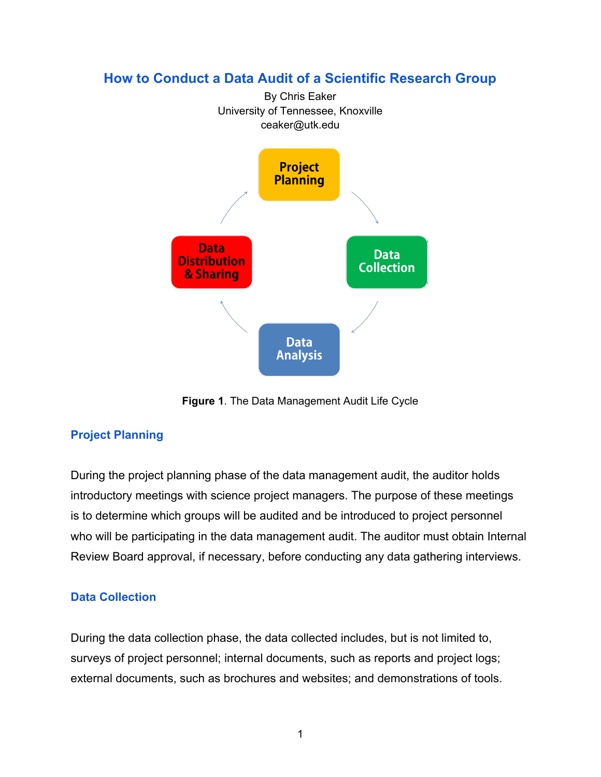

**How to Conduct a Data Audit of a Scientific Research Group**

**Figure 1**. The Data Management Audit Life Cycle

# **Project Planning**

During the project planning phase of the data management audit, the auditor holds introductory meetings with science project managers. The purpose of these meetings is to determine which groups will be audited and be introduced to project personnel who will be participating in the data management audit. The auditor must obtain Internal Review Board approval, if necessary, before conducting any data gathering interviews.

## **Data Collection**

During the data collection phase, the data collected includes, but is not limited to, surveys of project personnel; internal documents, such as reports and project logs; external documents, such as brochures and websites; and demonstrations of tools.